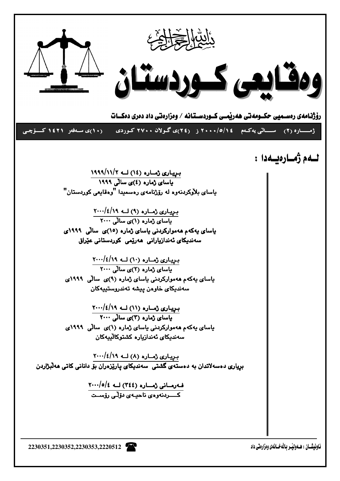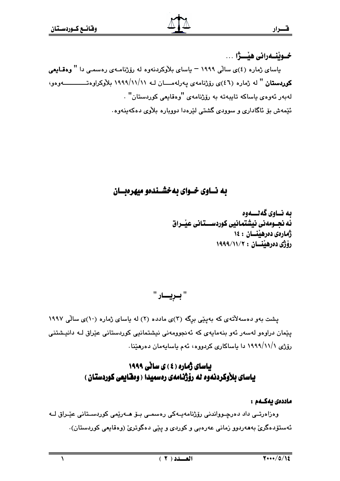خــوبنــهراني هيْـــژا ... یاسای ژماره (٤)ی سالّی ۱۹۹۹ – یاسای بلاّوکردنهوه له روّژنامـهی رهسمـی دا " وهقـایعی كوردستان " له ژماره (٤٦)ى رۆژنامەي يەرلەمــــان لــه ١٩٩٩/١١/١١ بلاّوكراوهتــــــــــــــهوهو، لەيەر ئەۋەي ياساكە تاپپەتە بە رۆژنامەي "ۋەقايعى كورېستان" . ئێمەش بۆ ئاگادارى و سوودى گشتى لێرەدا دوويارە بلاوى دەكەبنەوە.

# به نساوي خسواي به خشسندهو ميهرهبسان

ىە نــاوي گەنــــەوە ئه نجــومهني نيشتمانيي كوردســـتاني عيْــراق ژمارهى دەرھىنسان : ١٤ رۆژى دەرھيىتان : ١٩٩٩/١١/٢

یشت بهو دهسهلاتهی که بهییی برگه (۳)ی مادده (۲) له یاسای ژماره (۱۰)ی سالی ۱۹۹۷ یێمان دراوەو لەسەر ئەو بنەمايەي كە ئەنجوومەنى نیشتمانیى كوردستانى عێراق لـە دانیشتنى رۆژى ۱۹۹۹/۱۱/۱ دا باساكارى كردووه، ئەم باسابەمان دەرھێنا.

# **باسای ژماره (٤) ی سانی ۱۹۹۹** یاسای بلاْوکردنهوه له رۆژنامهی رەسمیدا ( وەقايعى کوردستان )

## ماددەى يەكــەم :

وەزاەرتــى داد دەرچـوواندنى رۆژنامەيــەكى رەسمــى بـۆ ھــەرێمى كوردســتانى عێـراق لــە ئەستۆدەگرى بەھەردوو زمانى عەرەبى و كوردى و يێې دەگوترى (وەقايعى كوردستان).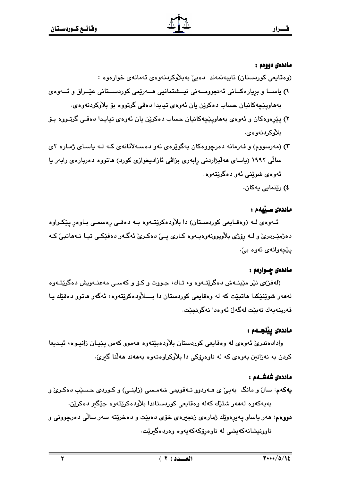### ماددەي دووەم :

- (وەقايعى كوردستان) تايبەتمەند دەبىْ بەبلاْوكردنەوەي ئەمانەي خوارەوە :
- ۱) یاســا و برِیارهکــانی ئهنجوومــهنی نیــشتمانیی هــهریمی کوردســتانی عیْــراق و ئــهوهی بەھاوپێچەكانيان حساب دەكرێن يان ئەوەي تيايدا دەقى گرتووە بۆ بلاْوكردنەوەي.
- ۲) پێڕەوەكان و ئەوەي بەھاوپێچەكانيان حساب دەكرێن يان ئەوەي تيايدا دەقـى گرتـووە بـۆ بلاوكردنەوەي.
- ۳) (مەرسووم) و فەرمانە دەرچووەكان بەگوێرەی ئەو دەسـەلأتانەی كـه لـه ياسـای ژمـارە ۲ی سالی ۱۹۹۲ (یاسای ههلٌبژاردنی رِابهری بزاڤی ئازادیخوازی کورد) هاتووه دهربارهی رابهر یا ئەوەي شوێنى ئەو دەگرێتەوە٠

٤) رێنمایی یهکان.

## ماددەى سىنىمم :

ئـهوهى لـه (وهقـايعى كوردسـتان) دا بلأودهكرێتـهوه بـه دهقـى رِهسمـى بـاوهرِ پێكـراوه دهژمێردرێ و لــه ڕۆژی بلاْوبوونهوهیــهوه کــاری پــێ دهکـرێ ئهگـهر دهقێکـی تیـا نــههاتبێ کــه يٽچەوانەي ئەوە بى،

### ماددەی چـوارەم :

(لەفز)ى نێر مێپنـﻪش دەگرێتـﻪوە و، تـﺎك، جـووت و كـۆ و كەسـى مەعنـﻪوپش دەگرێتـﻪوە لهههر شوێنێکدا ماتبێت که له وهقایعی کوردستان دا بــــلأودهکرێتهوه، ئهگهر ماتوو دهقێك یـا قەرينەيەك نەبێت لەگەلٚ ئەوەدا نەگونجێت٠

### ماددەى يېنجــەم :

وادادەندرىّ ئەوەي لە وەقايعى كوردستان بلاّودەبێتەوە ھەموو كەس پێپـان زانيـوە، ئيـديعا کردن به نهزانین بهوهی که له ناوهرۆکی دا بلاوکراوهتهوه بهههند ههلٌنا گیریّ.

### ماددەى شەشــەم :

یهکهم: سالٌ و مانگ بهپیٌ ی هـهردوو تـهقویمی شهمـسی (زاینـی) و کـوردی حـسێب دهکـریؒ و بەيەكەوە لەھەر شتێك كەلە وەقايعى كوردستاندا بلأودەكرێتەوە جێگیر دەكرێن.

دووهم: ههر ياساو پهيږهوێك ژمارهى زنجيرهى خۆى دەبێت و دەخرێته سەر سالّى دەرچوونى و ناوونیشانەکەیشى لە ناوەرۆکەکەیەوە وەردەگیرێت.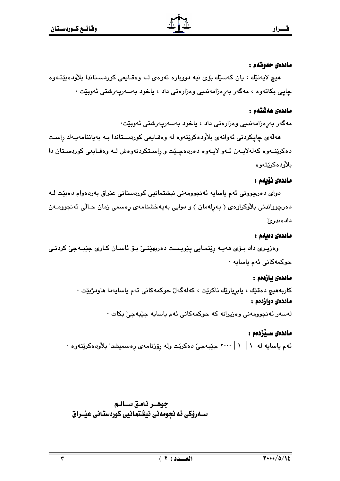### ماددەي حەوتەم :

هيچ لايەنێك ، يان كەسێك بۆي نيە دووبارە ئەوەي لـه وەقـايعى كوردسـتاندا بلاّودەبێتــەوە چاپی بکاتەوە ، مەگەر بەرەزامەندىي وەزارەتى داد ، ياخود بەسەرپەرشتى ئەوبێت ٠

### ماددەى ھەشتەم :

مەگەر بەرەزامەندىي وەزارەتى داد ، ياخود بەسەريەرشتى ئەوبێت٠

ھەلەي چاپكردنى ئەوانەي بلاودەكرينەوە لە وەقـايعى كوردسىتاندا بـە بەياننامەيـەك راست دهکرینهوه کهلهلایهن ئـهو لایـهوه دهردهچـینت و راسـتکردنهوهش لـه وهقـایعی کوردسـتان دا بلأودهكريتهوه

### ماددەى ئۆيەم :

دوای دەرچوونی ئەم ياسايە ئەنجوومەنى نيشتمانيى كوردستانى عيّراق بەردەوام دەبيّت لـه دەرچوواندنى بلاوكراوەي ( پەرلەمان ) و دوايى بەپەخشنامەي رەسمى زمان حـالى ئەنجوومـەن دادەندرئ

### ماددەى دەبەم :

وەزيـرى داد بـۆی ھەيـە رێنمـايى يێويـست دەربھێنـئ بـۆ ئاسـان كـارى جێبـەجێ كردنـى حوکمەکانى ئەم ياسايە ٠

### ماددەى ئازدەم :

کاربەھيچ دەقێك ، يابريارێك ناكرێت ، كەلەگەلٚ حوكمەكانى ئەم ياسايەدا ھاودژبێت ٠ ماددەي دوازدەم :

لەسەر ئەنجورمەنى وەزيرانە كە حوكمەكانى ئەم ياسايە جێبەجىٚ بكات ·

## ماددەى سـێزدەم :

ئهم ياسايه له ١ | ١ | ٢٠٠٠ جێبهجیٚ دهکرێِت وله ږۆژنامهی ڕهسمیشدا بلأودهکرێِتهوه ٠

جوهـر نامق سـالـم ســهرۆکی ئه نجومهنی نیشتمانیی کوردستانی عیّــراق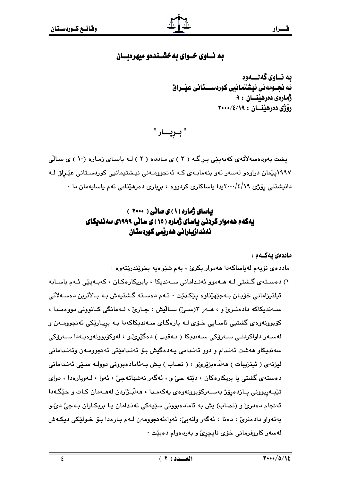## به نساوي خسواي به خشسندهو ميهرهبسان

ىە نــاوي گەنـــەوە ئه نجــومهنى نيشتمانيي كوردســتاني عيْــراق ژماروي دەرھىنسان : ۹ رۆژى دەرھينسان : 14/18/100

" بريسار "

یشت بهودهسهلاتهی کهبهینی برگه ( ۲ ) ی مادده ( ۲ ) لـه باسای ژماره (۱۰ ) ی سالّی ۱۹۹۷یێمان دراوهو لهسهر ئهو بنهمایـهی کـه ئهنجوومـهنی نیـشتیمانیی کوردسـتانی عیّـراق لـه دانیشتنی رۆژی ۱۹/٤/۱۰۰۰بدا یاساکاری کردووه ، بریاری دەرھێنانی ئەم یاسایەمان دا ۰

# باسای ژماره (۱) ی سانی ( ۲۰۰۰ ) یهکهم ههموار کردنی باسای ژماره ( ۱۵ ) ی سانی ۱۹۹۹ی سهندیکای ئەندازيارانى ھەربمى كوردستان

ماددەى ئەكــەم :

مادده ی نۆیەم لەياساكەدا ھەموار بكرىّ ، بەم شێوەپە بخوێندرێتەوە :

۱) دەسـتەي گـشتى لـە ھـەمور ئەنـدامانى سـەندىكا ، يابريكارەكـان ، كەبـەيێى ئـەم ياسـايە ئيلتيزاماتى خۆيان بـﻪجێهێناوە يێكدێت ٠ ئـﻪم دەسـتە گـشتيەش بـﻪ بـالأترين دەسـﻪلأتى سـهنديكاكه دادهنـريّ و ، هـهر ١٣سـيّ) سـالْيش ، جـاريّ ، لـهمانگي كـانووني دووهمـدا ، کۆبوونەوەي گشتيى ئاسايى خـۆي لـه بارەگـاي سـەندېكاكەدا بـه بريـارێكى ئەنجوومـەن و لەسـەر داواكردنـي سـەرۆكى سـەندىكا ( نـەقىب ) دەگێرێنـو ، لەوكۆبوونەوەيـەدا سـەرۆكى سەندىكاو ھەشت ئەنىدام و دوو ئەنىدامى يەدەگيش بىۆ ئەنىدامىتى ئەنجوومـەن وئەنىدامانى ليژنهي ( ئينزيبات ) هەلدەبژێرێو ، ( نصاب ) يش بەئامادەبوونى دوولـه سىنى ئەنىدامانى دهستهي گشتي يا پريکارهکان ، دٽته چيّ و ، ئهگهر نهشهاتهجيّ ، ئهوا ، لـهويارهدا ، دواي تٽيهريووني پازدهرۆژ بهسهرکۆيوونهوهي پهکهمدا ، ههلايژاردن لههـهمان کـات و جٽگـهدا ئهنجام دهدريٰ و (نصاب) پش به ئامادهبووني سێپهکي ئهندامان يـا بريکـاران بـهجيٰ ديٚـو بهتهواو دادهنريٰ ، دهنا ، ئهگهر وانهبيٰ، ئهوا،ئهنجوومهن لـهم بـارهدا بـِوْ خـولێِکي ديکـهش لەسەر كاروفرمانى خۆ*ى* ناپچ*ړئ* و بەردەوام دەبێت ·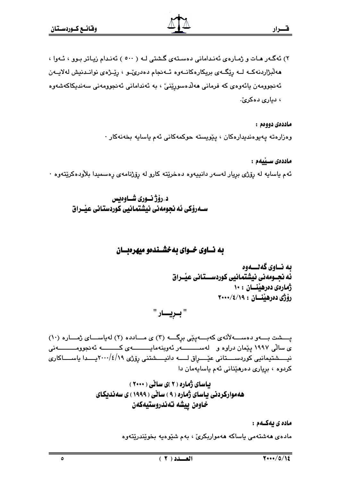۲) ئەگەر ھات و ژمارەي ئەندامانى دەستەي گشتى لـه ( ٥٠٠ ) ئەندام زياتر بوو ، ئـەوا ، هەلبژاردنەكــه لــه رێگــهى بريكارەكانــهوه ئــهنجام دەدرىٌــو ، رێــژەي نوانــدنيش لەلايــهن ئەنجوومەن يائەوەي كە فرمانى ھەلدەسورێنىٚ ، بە ئەندامانى ئەنجوومەنى سەندىكاكەشەوە ، دماري دهكرين.

> ماددەي دووەم : وەزارەتە پەيوەندىدارەكان ، پێويستە حوكمەكانى ئەم ياسايە بخەنەكار ٠

ماددەي سىبكەم : ئهم ياسايه له رۆژى بريار لەسەر دانييەوه دەخرێتە كارو لە رۆژنامەي رەسمىدا بلاّودەكرێتەوە ٠

د.رۆژنسورى شساوەيس سـەرۆكى ئە نحومەنى نىشتمانىي كوردستانى عىّـراق

به نساوي خسواي به خشسندهو ميهرهبسان

ىە نــاوي گەنــــەوە ئه نجــومەنى نيشتمانيى كوردســـتانى عيْــراق ژمارەي دەرھيىسان : ١٠ رۆژى دەرھىنسان : 14/18/100

" بـريـــار "

پسشت بسهو دهســهلاتهى كهبــه پيّى برگــه (٣) ى مــادده (٢) له ياســاى ژمــاره (١٠) ی سالّی ۱۹۹۷ پیّمان دراوه و لهســـــــــهر ئهوبنهمایـــــــــهی کــــــــه ئهنجوومـــــــــهنی نیسشتیمانیی کوردسستانی عیّسواق لســه دانیسشتنی رِوّژی ۲۰۰۰/٤/۱۹پســدا یاســــاکاری كردوه ، بريارى دەرھێنانى ئەم ياسايەمان دا

> یاسای ژماره (۲)ی سالی (۲۰۰۰) ههموارکردنی یاسای ژماره ( ۹ ) ساٽی ( ۱۹۹۹ ) ی سهندیکای خاوەن ييشه تەندروستيەكەن

> > ماده ی یهکـهم : مادهي هەشتەمى ياساكە ھەموارېكرىّ ، بەم شێوەپە بخوێندرێتەوە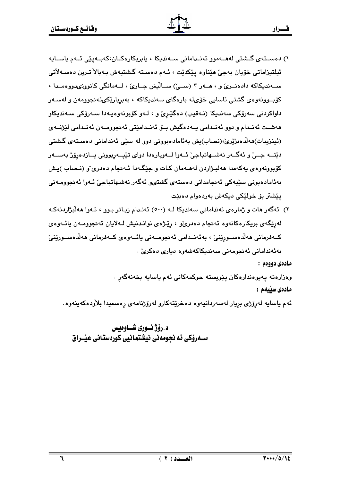۲) ئەگەر مات و ژمارەي ئەندامانى سەندىكا لـە (٥٠٠) ئەنـدام زيـاتر بـوو ، ئـەوا مەلىژاردنەكـە لەرێگەي بريكارەكانەوە ئەنجام دەدرى، ، رێژەي نوانىدنيش لـەلايان ئەنجوومـەن يائـەوەي كــەڧرمانى ھەلدەســورێنىٚ ، بەئەنــدامى ئەنجومــەنى يائــەوەي كــەڧرمانى ھەلدەســورێنىٚ بەئەندامانى ئەنجومەنى سەندېكاكەشەوە دېارى دەكرى .

مادەي دووەم :

قسرار

وەزارەتە يەيوەندارەكان يێويستە حوكمەكانى ئەم ياسايە بخەنەگەر . مادەي سىلمم :

ئەم ياسايە لەرۆژى بريار لەسەردانيەوە دەخرێتەكارو لەرۆژنامەي رەسميدا بلاّودەكەينەوە.

د.رۆژنــوري شــاوەىس ســهروْکی ئه نجومهنی نیشتمانیی کوردستانی عیّــراق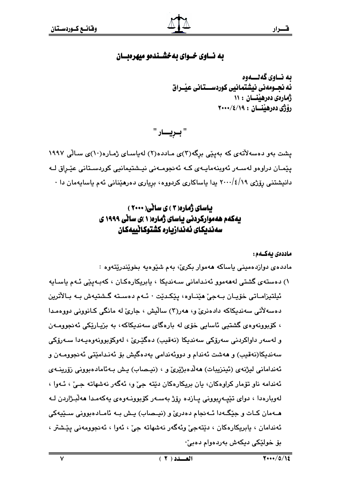## به نساوي خسواي به خشسندهو ميهرهبسان

ىە نــاوي گەنـــەوە ئه نحـومەنى نىشتمانىي كوردســتانى عىْـراق ژمارهی دهرهننسان ۱۱: رۆژى دەرھينسان : 14/18/100

" بريسار "

یشت بهو دهسهلاٌتهی که بهینی برگه(۳)ی مـادده(۲) لهیاسـای ژمـاره(۱۰)ی سـالّی ۱۹۹۷ يێمـان دراوەو لەسـەر ئەوينەمايـەي كـە ئەنجومـەنى نيـشتيمانيى كوردسـتانى عێـراق لـە دانیشتنی رۆژی ۲۰۰۰/٤/۱۹ بدا یاساکاری کردووه، بریاری دەرھێنانی ئەم یاساپەمان دا ۰

# بیاسای ژماره(۲) ی سانی(۲۰۰۰) بهکهم ههموارکردنی باسای ژماره( ۱ )ی سانی ۱۹۹۹ ی سەندىكاي ئەندازيارە كشتوكانييەكان

ماددەى ىەكــەم:

ماددەي دوازدەمينى ياساكە ھەموار بكرى، بەم شێوەپە بخوێندرێتەوە :

١) دەستەي گشتى لەھەمور ئەندامانى سـەندېكا ، يابريكارەكـان ، كەبـەيێى ئـەم ياسـايە ئيلتيزامـاتي خۆپـان بـﻪجىٰ ھێنـاوه، يێكـدێت ٠ ئـﻪم دەسـتە گـشتيەش بـﻪ بـالأترين دهسهلاتي سهنديکاکه دادهنريّ و، ههر(٣) ساليش ، جاريّ له مانگي کـانووني دووهمـدا ، کۆبوونەوەي گشتيى ئاسايى خۆي لە بارەگاي سەندېكاكە، بە بزياريكى ئەنجوومـەن و لەسەر داواكردنى سەرۆكى سەندېكا (نەقىب) دەگێرێ ، لەوكۆپوونەوەپـەدا سـەرۆكى سەندىكا(نەقىب) و ھەشت ئەندام و دووئەندامى يەدەگىش بۆ ئەنـدامێتى ئەنجوومـەن و ئەندامانى ليژنەي (ئينزيبات) ھەلدەبژێرێ و ، (نيـصاب) يش بـەئامادەبوونى زۆرينـەي ئەندامە ناو تۆمار كراوەكان، يان بريكارەكان دێتە جىّ و، ئەگەر نەشھاتە جىّ ، ئـەوا ، لەوبارەدا ، دواى تێپەربوونى پـازدە رۆژ بەسـەر كۆبوونـەوەى پەكەمـدا ھەلْبـژاردن لـە هــهمان کـات و جێِگــهدا ئــهنجام دهدریؒ و (نیــصاب) یـش بــه ئامــادهبوونی ســێیهکی ئەندامان ، بابريكارەكان ، دێتەجى٘ وئەگەر نەشھاتە جىٰ ، ئەول ، ئەنجوومەنى پێشتر ، بۆ خولٽكى ديكەش بەردەوام دەبى'٠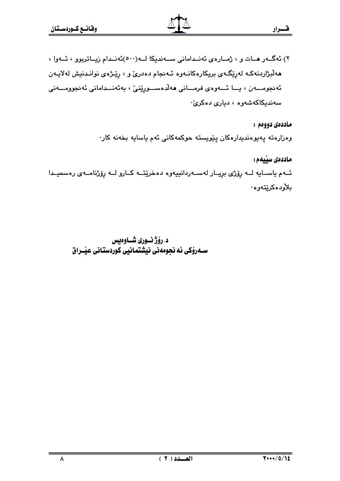٢) ئەگەر مات و ، ژمارەي ئەنىدامانى سىەندېكا لــە(٥٠٠)ئەنىدام زيـاترېوو ، ئــەوا ، مەلبژاردنەكـه لەرپكەي بريكارەكانـەوە ئـەنجام دەدرىّ و ، رپيْرەي نوانـدنيش لەلايـەن ئەنجومـــەن ، يــا ئـــەوەي فرمـــانى ھەلدەســـورِيْنى ، بەئەنـــدامانى ئەنجوومـــەنى سەندىكاكەشەورە ، دىيارى دەكرى،

> ماددەي دووەم : وەزارەتە پەيوەندىدارەكان پێويستە حوكمەكانى ئەم ياسايە بخەنە كار٠

ماددەي سىيەم : ئــهم ياســايه لــه رۆژى بريــار لهســهردانييهوه دهخرێتــه كــارو لــه رۆژنامــهى رەسميــدا ىلأودەكرېتەوە٠

د.رۆژ نورى شــاوەيس ســهرۆکی ئه نجومهنی نیشتمانیی کوردستانی عیّــراق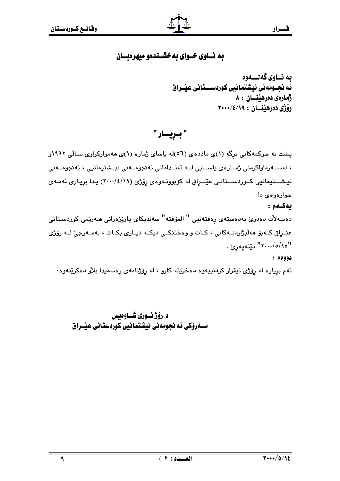## به نساوي خسواي به خشسندهو ميهرهبسان

ىە نــاوى گەنــــەوە ئه نجــومەنى نيشتمانيى كوردســـتانى عيْــراق ژمارەى دەرھىنان : ٨ رۆژى دەرھينسان : ٢٠٠٠/٤/١٩

" بريسار "

یشت به حوکمهکانی برگه (۱)ی ماددهی (٥٦)له یاسای ژماره (۱)ی ههموارکراوی سـالّی ۱۹۹۲و ، لەســەرداواكردنى ژمــارەي ياســايى لــە ئەنــدامانى ئەنجومــەنى نيــشتيمانيى ، ئەنجومــەنى نیشــتیمانیی کــوردســتانـی عیّـــرِاق له کۆبوونــهوهی رِوّژی (۱۹/٤/۱۹) یـدا برِیـاری ئهمــهی خوارەوە*ى د*ا:

ىەكـەم:

دەسەلات دەدرىّ بەدەستەي پەفتەنيى " المۆقتە" سەندىكاي پارێزەرانى ھـەرێمى كوردسـتانى عێڔاق ک+بۆ ھەڵبژاردنـــهکانى ، کــات و وەختێکــى دیکــه دیــارى بکــات ، بەمــەرجىٚ لــه رۆژى ''۲۰۰۰/٥/۱۵ تێنهيهريّ .

### دوودم :

ئهم برياره له رۆژى ئيقرار كردنييەوه دەخرێتە كارو ، له رۆژنامەي رەسمىدا بلاّو دەكرێتەوە٠

د .رؤژ نسوري شساوهيس ســهرۆکی ئه نجومهنی نیشتمـانیی کوردستـانی عیّــراق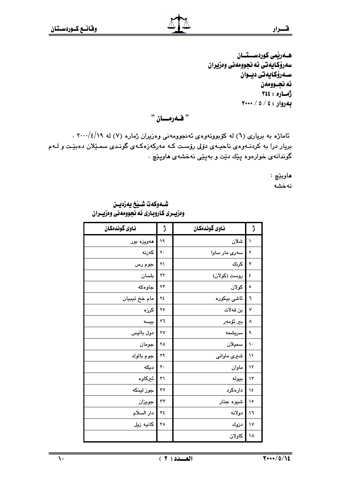ھـەرپمى كوردســتــان سەرۆكـايەتى ئە نجوومەنى وەزيران ســەرۆكـايەتى ديــوان ئه نجـوومەن أماره: ٢٤٤  $Y++ / 0 / 2$ : لهروار: ٤ / ٥

" فـهرمــان "

ئاماژه به بریاری (٦) له کوبوونهوهی ئه نجوومهنی وهزیران ژماره (٧) له ٢٠٠٠/٤/١٩ . بریار درا به کردنـهوهى ناحیـهى دۆلى رۆسـت کـه مەرکەزەکـهى گونـدى سمـێلان دەبێت و لـهم گوندانهی خوارهوه پێك دێت و بهپێی نهخشهی هاوپێچ ٠

> ماوبێچ : نەخشە

شـهوكهت شـينخ يهزديــن وهزيــري كـاروبـاري ئه نجوومهني ومزيــران

| ناوى گوندەكان | ڗ  | ناوى گوندەكان | ڙ            |
|---------------|----|---------------|--------------|
| هەويزە بور    | ۱۹ | شلان          | ١            |
| كەزنە         | ٢٠ | سەرى مار ساوا | ۲            |
| جوم رس        | ۲۱ | كرتك          | ٣            |
| بلسان         | ۲۲ | روست (کولان)  | ٤            |
| جاوەكە        | ۲۳ | كولان         | ٥            |
| مام خخ تيبيان | ٢٤ | ئاشى بيكوره   | ٦            |
| كرزه          | ٢٥ | بن قەلات      | ٧            |
| بيسه          | ٢٦ | بىر ئۆمەر     | ٨            |
| دول باليس     | ٢٧ | سريشمه        | ٩            |
| جومان         | ۲۸ | سميلان        | ١.           |
| جوم بالوك     | ۲۹ | شیری ماوانبی  | $\lambda$    |
| دیکه          | ٣. | ماوان         | $\lambda$    |
| ئيركاوه       | ٣١ | بيوله         | ۱۳           |
| جوز لينكه     | ٣٢ | دارەكرد       | ١٤           |
| جويزان        | ٣٣ | شيوه جنار     | ۱٥           |
| دار السلام    | ٣٤ | دولانه        | ۱٦           |
| كانيه زيل     | ٣٥ | دزوك          | $\mathsf{v}$ |
|               |    | كاولان        | ١٨           |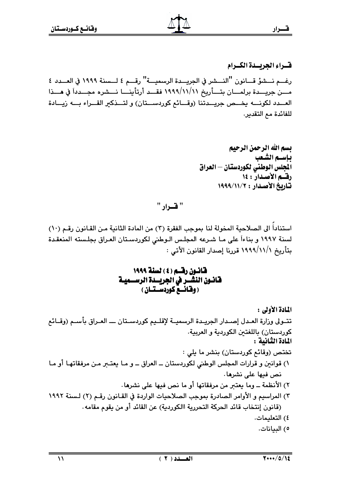فتسراء الجريسدة الكسرام رغـــم نـــشوً قـــانون "النـــشر في الجريـــدة الرسميـــة" رقـــم ٤ لـــسنة ١٩٩٩ في العـــدد ٤ مــــن جريــــدة برلمــــان بتــــأريخ ١٩٩٩/١١/١١ فقـــد أرتأينــــا نــــشره مجـــدداً في هــــذا العـــدد لكونــــه يخـــص جريـــدتنا (وقـــائع كوردســـتان) و لتـــذكير القـــراء بـــه زيـــادة للفائدة مع التقدير.

> بسم الله الرحمن الرحيم باستم الشعب المجلس الوطنى لكوردستان – العراق رقسم الأصدار : ١٤ تاريخ الأصدار : ١٩٩٩/١١/٢

" قرار "

استناداً الى الصلاحية المخولة لنا بموجب الفقرة (٣) من المادة الثانية مـن القـانون رقـم (١٠) لسنة ١٩٩٧ و بناءاً على مـا شـرعه المجلـس الـوطني لكوردسـتان العـراق بجلـسته المنعقـدة بتأريخ ١/١/١/١٩٩٩ قررنا إصدار القانون الأتي :

 $\mathcal{U}$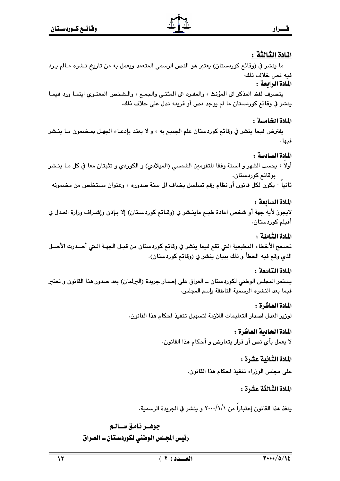## المادة الثّالثّة :

قسرار

ما ينشر في (وقائع كوردستان) يعتبر هو النص الرسمي المتعمد ويعمل به من تاريخ نـشره مـالم يـرد فيه نص خلاف ذلك·

المادة الرابعة :

ينصرف لفظ المذكر الى المؤنث ، والمفـرد الى المثنـي والجمـع ، والـشخص المعنـوى اينمـا ورد فيمـا ينشر في وقائم كوردستان ما لم يوجد نص أو قرينه تدل على خلاف ذلك.

## المادة الخامسة :

يفترض فيما ينشر في وقائع كوردستان علم الجميع به ، و لا يعتد بإدعـاء الجهـل بمـضمون مـا ينـشر فيها .

## المادة السادسة :

أولاً : يحسب الشهر و السنة وفقا للتقومين الشمسي (الميلادي) و الكوردي و تثبتان معا في كل مـا ينـشر بوقائم كوردستان.

ثانيا : يكون لكل قانون أو نظام رقم تسلسل يضاف الى سنة صدوره ، وعنوان مستخلص من مضمونه

## المادة السائعة :

لايجوز لأية جهة أو شخص اعادة طبـع ماينـشر في (وقـائـع كوردسـتان) إلا بـإذن وإشـراف وزارة العـدل في أقىلم كوردستان.

## المادة الثامنة :

تصحح الأخطاء المطبعية التي تقع فيما ينشر في وقائع كوردستان من قبـل الجهـة الـتي أصـدرت الأصـل الذي وقع فيه الخطأ و ذلك ببيان ينشر في (وقائع كوردستان).

## المادة التاسعة :

يستمر المجلس الوطني لكوردستان ــ العراق على إصدار جريدة (البرلمان) بعد صدور هذا القانون و تعتبر فيما بعد النشره الرسمية الناطقة بإسم المجلس.

# المادة العاشرة :

لوزير العدل اصدار التعليمات اللازمة لتسهيل تنفيذ احكام هذا القانون.

# المادة الحادية العاشرة :

لا يعمل بأي نص أو قرار يتعارض و أحكام هذا القانون.

## المادة الثّانية عشرة :

على مجلس الوزراء تنفيذ احكام هذا القانون.

# المادة الثّالثّة عشرة :

ينفذ هذا القانون إعتبارا من ٢٠٠٠/١/١ و ينشر في الجريدة الرسمية.

# جوهـر نامق سـالـم رئيس المجلس الوطني لكوردستان ــ العـراق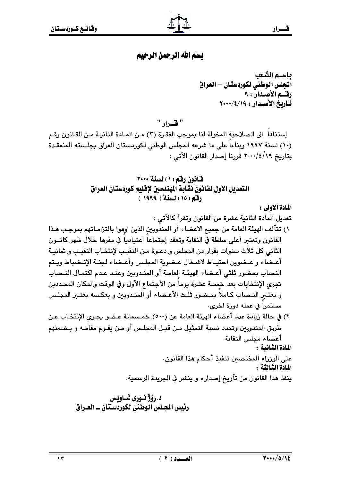## بسم الله الرحمن الرحيم

" فسرار "

إستنادا الى الصلاحية المخولة لنا بموجب الفقرة (٢) من المـادة الثانيـة مـن القـانون رقـم (١٠) لسنة ١٩٩٧ وبناءاً على ما شرعه المجلس الوطني لكوردستان العراق بجلسته المنعقدة بتاريخ ٢٠٠٠/٤/١٩ قررنا إصدار القانون الأتى :

> قانون رقم (١) لسنة ٢٠٠٠ التعديل الأول لقانون نقابة المندسين لإقليم كوردستان العراق رفق (١٥) لسنة ( ١٩٩٩ )

> > المادة الأولى :

- ٢) في حالة زيادة عدد أعضاء الهيئة العامة عن (٥٠٠) خمسمائة عـضو يجـرى الإنتخـاب عـن طريق المندوبين وتحدد نسبة التمثيل مـن قبـل المجلـس أو مـن يقـوم مقامـه و بـضمنهم أعضاء مجلس النقابة. المادة الثانية :
	- على الوزراء المختصين تنفيذ أحكام هذا القانون. المادة الثبالثة: ينفذ هذا القانون من تأريخ إصداره و ينشر في الجريدة الرسمية.

 $\ddot{\phantom{a}}$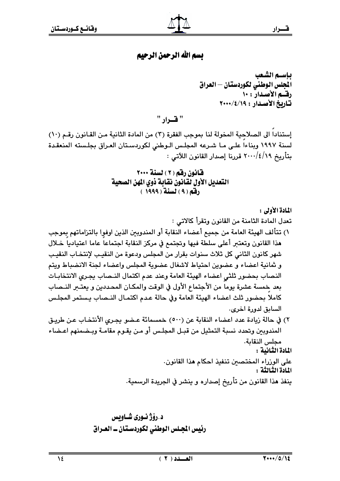# بسم الله الرحمن الرحيم

" قسرار "

إستناداً الى الصلاحية المخولة لنا بموجب الفقرة (٣) من المادة الثانية مـن القـانون رقـم (١٠) لسنة ١٩٩٧ وبناءا على ما شرعه المجلس الوطني لكوردستان العراق بجلسته المنعقدة بتأريخ ٢٠٠٠/٤/١٩ قررنا إصدار القانون اللآتي :

> قانون رقم (٢) لسنة ٢٠٠٠ التعديل الأول لقانون نقابة ذوى المهن الصحية رفقه ( ۹ ) لسنة ( ۱۹۹۹ )

> > المادة الأولى :

تعدل المادة الثامنة من القانون وتقرأ كالاتي :

- ١) تتألف الهيئة العامة من جميع أعضاء النقابة أو المندوبين الذين اوفوٍا بالتزاماتهم بِموجب هذا القانون وتعتبر أعلى سلطة فيها وتجتمع في مركز النقابة اجتماعاً عاما اعتيادياً خـلال شهر كانون الثاني كل ثلاث سنوات بقرار من المجلس ودعوة من النقيب لإنتخاب النقيب و ثمانية اعضاء و عضوين احتياط لاشغال عضوية المجلس واعضاء لجنة الانضباط ويتم النصاب بحضور ثلثى اعضاء الهيئة العامة وعند عدم اكتمال النـصاب يجرى الانتخابـات بعد خمسة عشرة بوماً من الأجتماع الأول في الوقت والمكـان المحـددين و يعتــر النــصاب كاملا بحضور ثلث اعضاء الهيئة العامة وفي حالة عدم اكتمـال النـصاب يـستمر المجلـس السابق لدورة اخرى.
- ٢) في حالة زيادة عدد اعضاء النقابة عن (٥٠٠) خمسمائة عـضو يجـرى الأنتخـاب عـن طريـق المندوبين وتحدد نسبة التمثيل من قبـل المجلـس أو مـن يقـوم مقامـة وبـضمنهم اعـضاء مجلس النقابة. المادة الثانية : على الوزراء المختصين تنفيذ احكام هذا القانون.

المادة الثالثة :

ينفذ هذا القانون من تأريخ إصداره و ينشر في الجريدة الرسمية.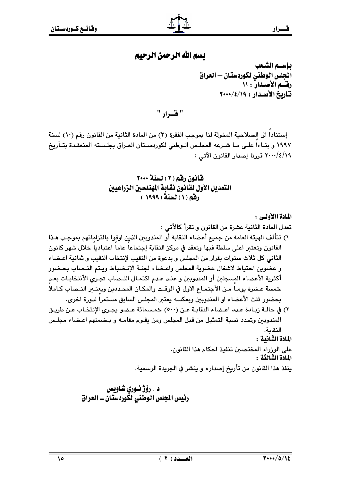$\overline{1}$ 

# بسم الله الرحمن الرحيم

ياسيم الشعب المجلس الوطنى لكوردستان – العراق رقه الأصدار : ١١ تاريخ الأصدار: ١٩/٤/١٩٠٠

" قرار "

إستناداً الى الصلاحية المخولة لنا بموجب الفقرة (٣) من المادة الثانية من القانون رقم (١٠) لسنة ١٩٩٧ و بنــاءا علـى مـا شـرعه المجلـس الـوطني لكوردسـتان العـراق بجلـسته المنعقـدة بتــأريخ ٢٠٠٠/٤/١٩ قررنا إصدار القانون الآتي :

> قانون رقم (٣) لسنة ٢٠٠٠ التعديل الأول لَقَانُونَ نقابة المهلدسين الزراعيين (فق) (١) لسنة (١٩٩٩ )

المادة الثبالثة : ينفذ هذا القانون من تأريخ إصداره و ينشر في الجريدة الرسمية.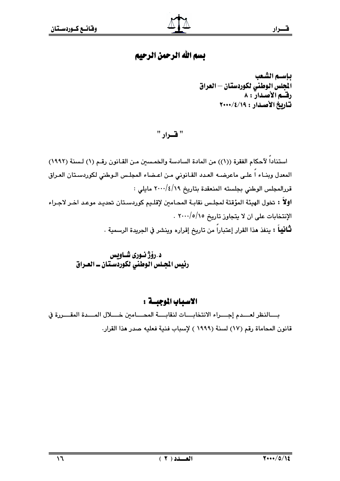# بسم الله الرحمن الرحيم

بإسسم الشبعب المجلس الوطنى لكوردستان – العراق رقه الأصدار : ٨ تاريخ الأصدار: ١٩/٤/١٠٠٠

" فسرار "

استناداً لآحكام الفقرة ((١)) من المادة السادسة والخمسين مـن القـانون رقـم (١) لـسنة (١٩٩٢) المعدل وبنـاء اً علـى ماعرضـه العـدد القـانونى مـن اعـضاء المجلـس الـوطني لكوردسـتان العـراق قررالمجلس الوطني بجلسته المنعقدة بتاريخ ٢٠٠٠/٤/١٩ مايلي : اولاً : تخول الهيئة المؤقتة لمجلس نقابة المحـامـن لإقلـيم كوردسـتان تحديـد موعـد اخـر لاجـراء الإنتخابات على ان لا يتجاوز تاريخ ٢٠٠٠/٥/١٥ . **ثَـانيـاً :** ينفذ هذا القرار إعتباراً من تاريخ إقراره وينشر في الجريدة الرسمية .

## الاسباب الموجبسة :

بسالنظر لعسدم إجسراء الانتخابسات لنقابسة المحسامين خسلال المسدة المقسررة في قانون المحاماة رقم (١٧) لسنة (١٩٩٩ ) لإسباب فنية فعليه صدر هذا القرار.